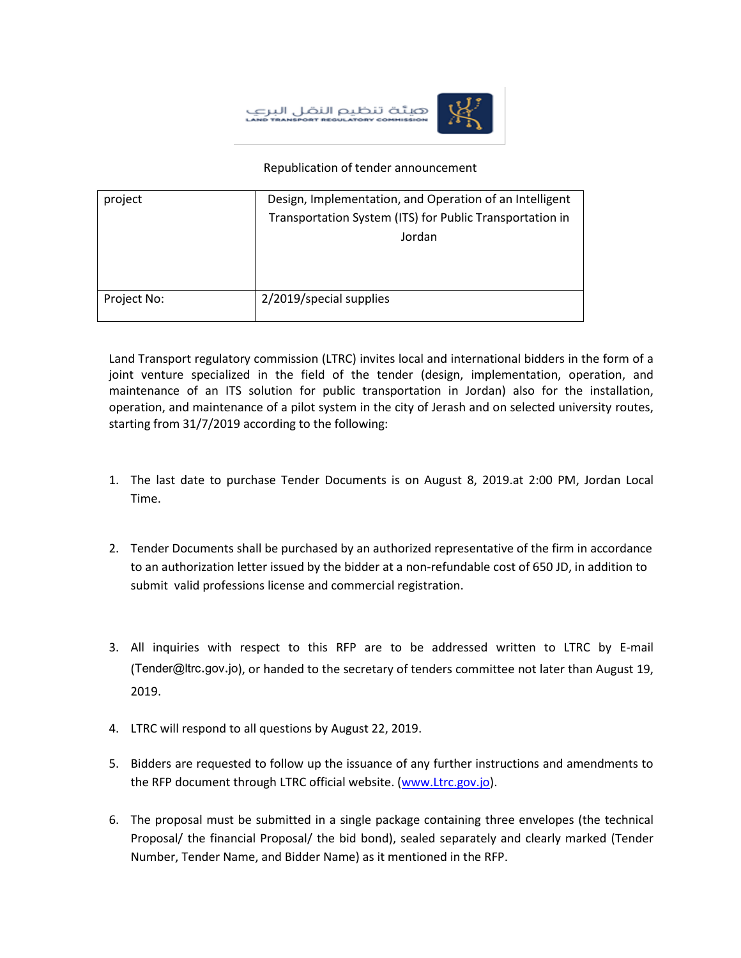هيئة تنظيم النقر

## Republication of tender announcement

| project     | Design, Implementation, and Operation of an Intelligent  |
|-------------|----------------------------------------------------------|
|             | Transportation System (ITS) for Public Transportation in |
|             | Jordan                                                   |
|             |                                                          |
|             |                                                          |
| Project No: | 2/2019/special supplies                                  |

Land Transport regulatory commission (LTRC) invites local and international bidders in the form of a joint venture specialized in the field of the tender (design, implementation, operation, and maintenance of an ITS solution for public transportation in Jordan) also for the installation, operation, and maintenance of a pilot system in the city of Jerash and on selected university routes, starting from 31/7/2019 according to the following:

- 1. The last date to purchase Tender Documents is on August 8, 2019.at 2:00 PM, Jordan Local Time.
- 2. Tender Documents shall be purchased by an authorized representative of the firm in accordance to an authorization letter issued by the bidder at a non-refundable cost of 650 JD, in addition to submit valid professions license and commercial registration.
- 3. All inquiries with respect to this RFP are to be addressed written to LTRC by E-mail (Tender@ltrc.gov.jo), or handed to the secretary of tenders committee not later than August 19, 2019.
- 4. LTRC will respond to all questions by August 22, 2019.
- 5. Bidders are requested to follow up the issuance of any further instructions and amendments to the RFP document through LTRC official website. [\(www.Ltrc.gov.jo\)](http://www.ltrc.gov.jo/).
- 6. The proposal must be submitted in a single package containing three envelopes (the technical Proposal/ the financial Proposal/ the bid bond), sealed separately and clearly marked (Tender Number, Tender Name, and Bidder Name) as it mentioned in the RFP.